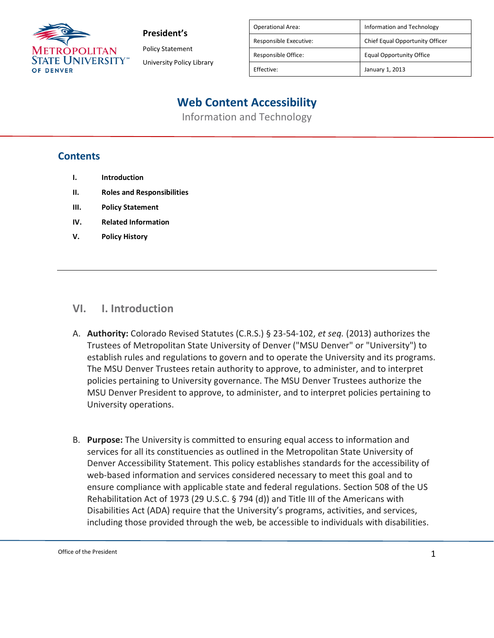

**President's**

Policy Statement University Policy Library

| <b>Operational Area:</b> | Information and Technology      |
|--------------------------|---------------------------------|
| Responsible Executive:   | Chief Equal Opportunity Officer |
| Responsible Office:      | <b>Equal Opportunity Office</b> |
| Effective:               | January 1, 2013                 |
|                          |                                 |

# **Web Content Accessibility**

Information and Technology

### **Contents**

- **I. Introduction**
- **II. Roles and Responsibilities**
- **III. Policy Statement**
- **IV. Related Information**
- **V. Policy History**

### **VI. I. Introduction**

- A. **Authority:** Colorado Revised Statutes (C.R.S.) § 23-54-102, *et seq.* (2013) authorizes the Trustees of Metropolitan State University of Denver ("MSU Denver" or "University") to establish rules and regulations to govern and to operate the University and its programs. The MSU Denver Trustees retain authority to approve, to administer, and to interpret policies pertaining to University governance. The MSU Denver Trustees authorize the MSU Denver President to approve, to administer, and to interpret policies pertaining to University operations.
- B. **Purpose:** The University is committed to ensuring equal access to information and services for all its constituencies as outlined in the Metropolitan State University of Denver Accessibility Statement. This policy establishes standards for the accessibility of web-based information and services considered necessary to meet this goal and to ensure compliance with applicable state and federal regulations. Section 508 of the US Rehabilitation Act of 1973 (29 U.S.C. § 794 (d)) and Title III of the Americans with Disabilities Act (ADA) require that the University's programs, activities, and services, including those provided through the web, be accessible to individuals with disabilities.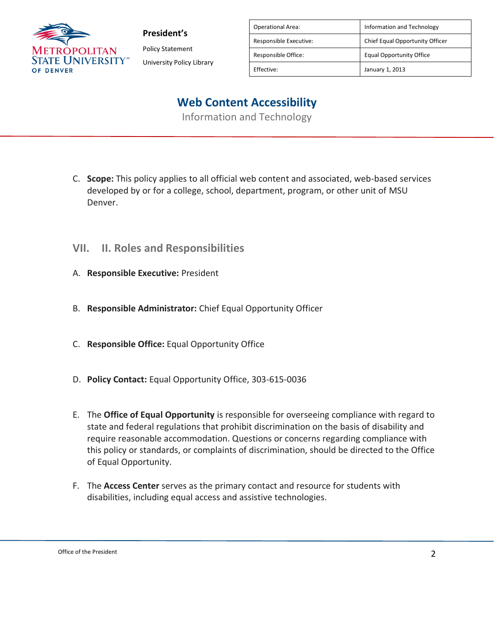

**President's** Policy Statement

University Policy Library

| <b>Operational Area:</b> | Information and Technology      |
|--------------------------|---------------------------------|
| Responsible Executive:   | Chief Equal Opportunity Officer |
| Responsible Office:      | <b>Equal Opportunity Office</b> |
| Effective:               | January 1, 2013                 |

## **Web Content Accessibility**

Information and Technology

- C. **Scope:** This policy applies to all official web content and associated, web-based services developed by or for a college, school, department, program, or other unit of MSU Denver.
- **VII. II. Roles and Responsibilities**
- A. **Responsible Executive:** President
- B. **Responsible Administrator:** Chief Equal Opportunity Officer
- C. **Responsible Office:** Equal Opportunity Office
- D. **Policy Contact:** Equal Opportunity Office, 303-615-0036
- E. The **Office of Equal Opportunity** is responsible for overseeing compliance with regard to state and federal regulations that prohibit discrimination on the basis of disability and require reasonable accommodation. Questions or concerns regarding compliance with this policy or standards, or complaints of discrimination, should be directed to the Office of Equal Opportunity.
- F. The **Access Center** serves as the primary contact and resource for students with disabilities, including equal access and assistive technologies.

Office of the President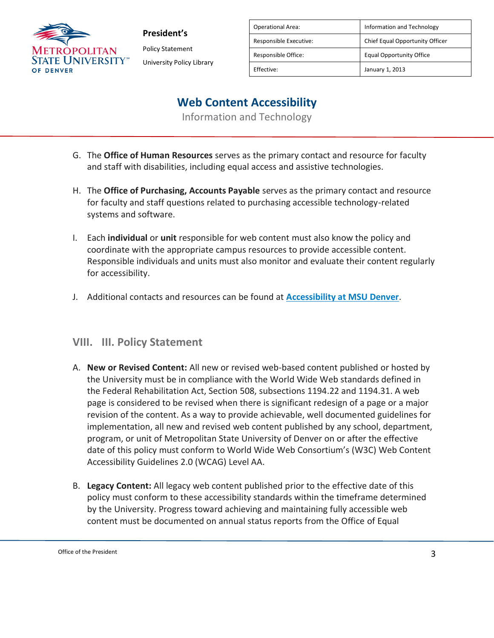

**President's** Policy Statement University Policy Library

| Operational Area:      | Information and Technology      |
|------------------------|---------------------------------|
| Responsible Executive: | Chief Equal Opportunity Officer |
| Responsible Office:    | Equal Opportunity Office        |
| Effective:             | January 1, 2013                 |

### **Web Content Accessibility**

Information and Technology

- G. The **Office of Human Resources** serves as the primary contact and resource for faculty and staff with disabilities, including equal access and assistive technologies.
- H. The **Office of Purchasing, Accounts Payable** serves as the primary contact and resource for faculty and staff questions related to purchasing accessible technology-related systems and software.
- I. Each **individual** or **unit** responsible for web content must also know the policy and coordinate with the appropriate campus resources to provide accessible content. Responsible individuals and units must also monitor and evaluate their content regularly for accessibility.
- J. Additional contacts and resources can be found at **[Accessibility at MSU Denver](https://adt4apps.msudenver.edu/terminalfour/preview/1/en/11100)**.

#### **VIII. III. Policy Statement**

- A. **New or Revised Content:** All new or revised web-based content published or hosted by the University must be in compliance with the World Wide Web standards defined in the Federal Rehabilitation Act, Section 508, subsections 1194.22 and 1194.31. A web page is considered to be revised when there is significant redesign of a page or a major revision of the content. As a way to provide achievable, well documented guidelines for implementation, all new and revised web content published by any school, department, program, or unit of Metropolitan State University of Denver on or after the effective date of this policy must conform to World Wide Web Consortium's (W3C) Web Content Accessibility Guidelines 2.0 (WCAG) Level AA.
- B. **Legacy Content:** All legacy web content published prior to the effective date of this policy must conform to these accessibility standards within the timeframe determined by the University. Progress toward achieving and maintaining fully accessible web content must be documented on annual status reports from the Office of Equal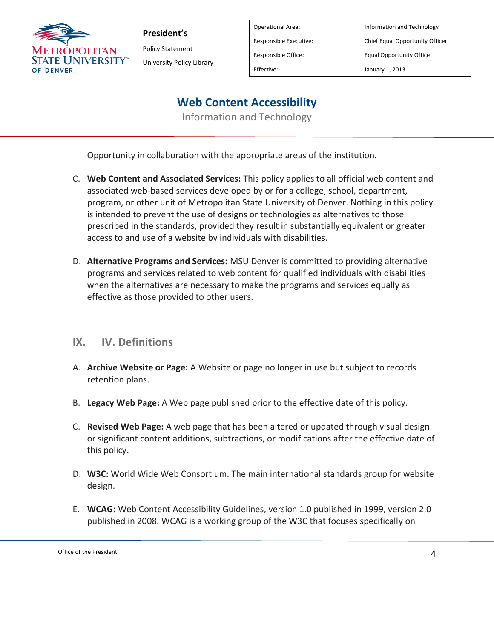

**President's** Policy Statement University Policy Library

| Operational Area:      | Information and Technology      |
|------------------------|---------------------------------|
| Responsible Executive: | Chief Equal Opportunity Officer |
| Responsible Office:    | <b>Equal Opportunity Office</b> |
| Effective:             | January 1, 2013                 |

### **Web Content Accessibility**

Information and Technology

Opportunity in collaboration with the appropriate areas of the institution.

- C. **Web Content and Associated Services:** This policy applies to all official web content and associated web-based services developed by or for a college, school, department, program, or other unit of Metropolitan State University of Denver. Nothing in this policy is intended to prevent the use of designs or technologies as alternatives to those prescribed in the standards, provided they result in substantially equivalent or greater access to and use of a website by individuals with disabilities.
- D. **Alternative Programs and Services:** MSU Denver is committed to providing alternative programs and services related to web content for qualified individuals with disabilities when the alternatives are necessary to make the programs and services equally as effective as those provided to other users.

#### **IX. IV. Definitions**

- A. **Archive Website or Page:** A Website or page no longer in use but subject to records retention plans.
- B. **Legacy Web Page:** A Web page published prior to the effective date of this policy.
- C. **Revised Web Page:** A web page that has been altered or updated through visual design or significant content additions, subtractions, or modifications after the effective date of this policy.
- D. **W3C:** World Wide Web Consortium. The main international standards group for website design.
- E. **WCAG:** Web Content Accessibility Guidelines, version 1.0 published in 1999, version 2.0 published in 2008. WCAG is a working group of the W3C that focuses specifically on

Office of the President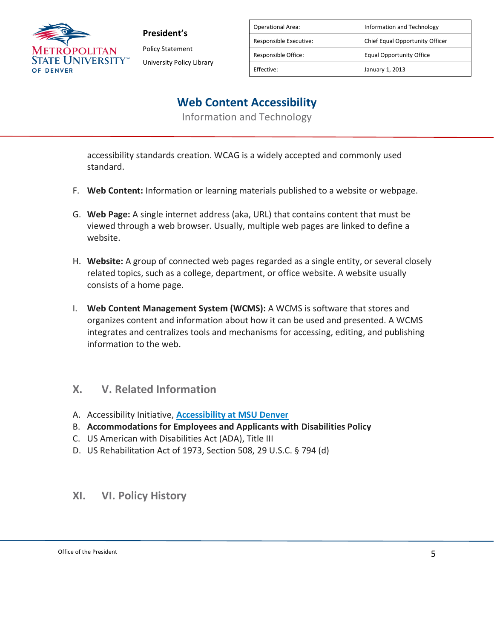

**President's** Policy Statement University Policy Library

| <b>Operational Area:</b> | Information and Technology      |
|--------------------------|---------------------------------|
| Responsible Executive:   | Chief Equal Opportunity Officer |
| Responsible Office:      | <b>Equal Opportunity Office</b> |
| Effective:               | January 1, 2013                 |

### **Web Content Accessibility**

Information and Technology

accessibility standards creation. WCAG is a widely accepted and commonly used standard.

- F. **Web Content:** Information or learning materials published to a website or webpage.
- G. **Web Page:** A single internet address (aka, URL) that contains content that must be viewed through a web browser. Usually, multiple web pages are linked to define a website.
- H. **Website:** A group of connected web pages regarded as a single entity, or several closely related topics, such as a college, department, or office website. A website usually consists of a home page.
- I. **Web Content Management System (WCMS):** A WCMS is software that stores and organizes content and information about how it can be used and presented. A WCMS integrates and centralizes tools and mechanisms for accessing, editing, and publishing information to the web.

### **X. V. Related Information**

- A. Accessibility Initiative, **[Accessibility at MSU Denver](https://adt4apps.msudenver.edu/terminalfour/preview/1/en/11100)**
- B. **Accommodations for Employees and Applicants with Disabilities Policy**
- C. US American with Disabilities Act (ADA), Title III
- D. US Rehabilitation Act of 1973, Section 508, 29 U.S.C. § 794 (d)

#### **XI. VI. Policy History**